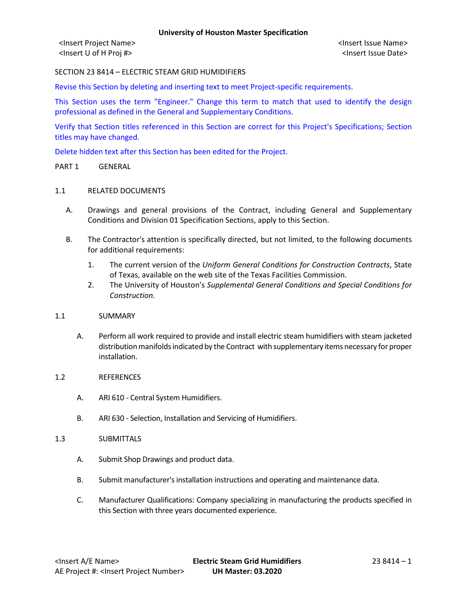<Insert U of H Proj #> <Insert Issue Date>

SECTION 23 8414 – ELECTRIC STEAM GRID HUMIDIFIERS

Revise this Section by deleting and inserting text to meet Project-specific requirements.

This Section uses the term "Engineer." Change this term to match that used to identify the design professional as defined in the General and Supplementary Conditions.

Verify that Section titles referenced in this Section are correct for this Project's Specifications; Section titles may have changed.

Delete hidden text after this Section has been edited for the Project.

### PART 1 GENERAL

# 1.1 RELATED DOCUMENTS

- A. Drawings and general provisions of the Contract, including General and Supplementary Conditions and Division 01 Specification Sections, apply to this Section.
- B. The Contractor's attention is specifically directed, but not limited, to the following documents for additional requirements:
	- 1. The current version of the *Uniform General Conditions for Construction Contracts*, State of Texas, available on the web site of the Texas Facilities Commission.
	- 2. The University of Houston's *Supplemental General Conditions and Special Conditions for Construction.*

# 1.1 SUMMARY

A. Perform all work required to provide and install electric steam humidifiers with steam jacketed distribution manifolds indicated by the Contract with supplementary items necessary for proper installation.

## 1.2 REFERENCES

- A. ARI 610 Central System Humidifiers.
- B. ARI 630 Selection, Installation and Servicing of Humidifiers.

#### 1.3 SUBMITTALS

- A. Submit Shop Drawings and product data.
- B. Submit manufacturer's installation instructions and operating and maintenance data.
- C. Manufacturer Qualifications: Company specializing in manufacturing the products specified in this Section with three years documented experience.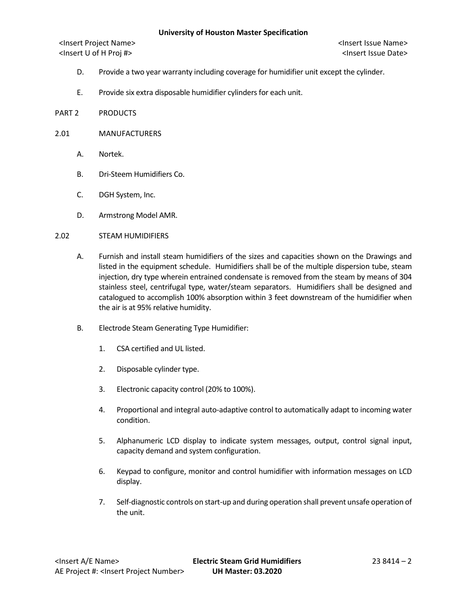<Insert Project Name> <Insert Issue Name> <Insert U of H Proj #> <Insert Issue Date>

- D. Provide a two year warranty including coverage for humidifier unit except the cylinder.
- E. Provide six extra disposable humidifier cylinders for each unit.
- PART 2 PRODUCTS
- 2.01 MANUFACTURERS
	- A. Nortek.
	- B. Dri-Steem Humidifiers Co.
	- C. DGH System, Inc.
	- D. Armstrong Model AMR.

#### 2.02 STEAM HUMIDIFIERS

- A. Furnish and install steam humidifiers of the sizes and capacities shown on the Drawings and listed in the equipment schedule. Humidifiers shall be of the multiple dispersion tube, steam injection, dry type wherein entrained condensate is removed from the steam by means of 304 stainless steel, centrifugal type, water/steam separators. Humidifiers shall be designed and catalogued to accomplish 100% absorption within 3 feet downstream of the humidifier when the air is at 95% relative humidity.
- B. Electrode Steam Generating Type Humidifier:
	- 1. CSA certified and UL listed.
	- 2. Disposable cylinder type.
	- 3. Electronic capacity control (20% to 100%).
	- 4. Proportional and integral auto-adaptive control to automatically adapt to incoming water condition.
	- 5. Alphanumeric LCD display to indicate system messages, output, control signal input, capacity demand and system configuration.
	- 6. Keypad to configure, monitor and control humidifier with information messages on LCD display.
	- 7. Self-diagnostic controls on start-up and during operation shall prevent unsafe operation of the unit.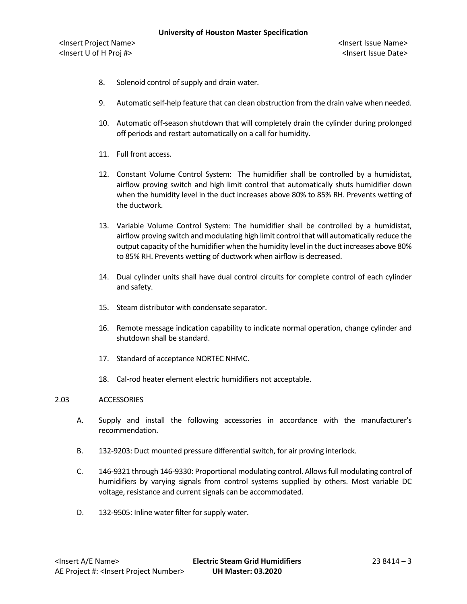- 8. Solenoid control of supply and drain water.
- 9. Automatic self-help feature that can clean obstruction from the drain valve when needed.
- 10. Automatic off-season shutdown that will completely drain the cylinder during prolonged off periods and restart automatically on a call for humidity.
- 11. Full front access.
- 12. Constant Volume Control System: The humidifier shall be controlled by a humidistat, airflow proving switch and high limit control that automatically shuts humidifier down when the humidity level in the duct increases above 80% to 85% RH. Prevents wetting of the ductwork.
- 13. Variable Volume Control System: The humidifier shall be controlled by a humidistat, airflow proving switch and modulating high limit control that will automatically reduce the output capacity of the humidifier when the humidity level in the duct increases above 80% to 85% RH. Prevents wetting of ductwork when airflow is decreased.
- 14. Dual cylinder units shall have dual control circuits for complete control of each cylinder and safety.
- 15. Steam distributor with condensate separator.
- 16. Remote message indication capability to indicate normal operation, change cylinder and shutdown shall be standard.
- 17. Standard of acceptance NORTEC NHMC.
- 18. Cal-rod heater element electric humidifiers not acceptable.

# 2.03 ACCESSORIES

- A. Supply and install the following accessories in accordance with the manufacturer's recommendation.
- B. 132-9203: Duct mounted pressure differential switch, for air proving interlock.
- C. 146-9321 through 146-9330: Proportional modulating control. Allows full modulating control of humidifiers by varying signals from control systems supplied by others. Most variable DC voltage, resistance and current signals can be accommodated.
- D. 132-9505: Inline water filter for supply water.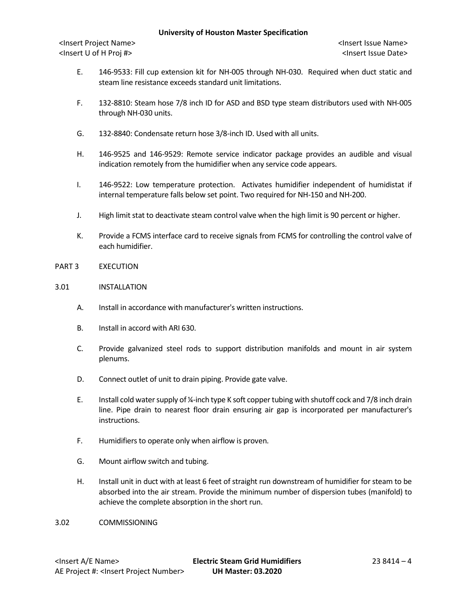# **University of Houston Master Specification**

<Insert Project Name> <Insert Issue Name> <Insert U of H Proj #> <Insert Issue Date>

- E. 146-9533: Fill cup extension kit for NH-005 through NH-030. Required when duct static and steam line resistance exceeds standard unit limitations.
- F. 132-8810: Steam hose 7/8 inch ID for ASD and BSD type steam distributors used with NH-005 through NH-030 units.
- G. 132-8840: Condensate return hose 3/8-inch ID. Used with all units.
- H. 146-9525 and 146-9529: Remote service indicator package provides an audible and visual indication remotely from the humidifier when any service code appears.
- I. 146-9522: Low temperature protection. Activates humidifier independent of humidistat if internal temperature falls below set point. Two required for NH-150 and NH-200.
- J. High limit stat to deactivate steam control valve when the high limit is 90 percent or higher.
- K. Provide a FCMS interface card to receive signals from FCMS for controlling the control valve of each humidifier.
- PART 3 EXECUTION
- 3.01 INSTALLATION
	- A. Install in accordance with manufacturer's written instructions.
	- B. Install in accord with ARI 630.
	- C. Provide galvanized steel rods to support distribution manifolds and mount in air system plenums.
	- D. Connect outlet of unit to drain piping. Provide gate valve.
	- E. Install cold water supply of ¼-inch type K soft copper tubing with shutoff cock and 7/8 inch drain line. Pipe drain to nearest floor drain ensuring air gap is incorporated per manufacturer's instructions.
	- F. Humidifiers to operate only when airflow is proven.
	- G. Mount airflow switch and tubing.
	- H. Install unit in duct with at least 6 feet of straight run downstream of humidifier for steam to be absorbed into the air stream. Provide the minimum number of dispersion tubes (manifold) to achieve the complete absorption in the short run.
- 3.02 COMMISSIONING